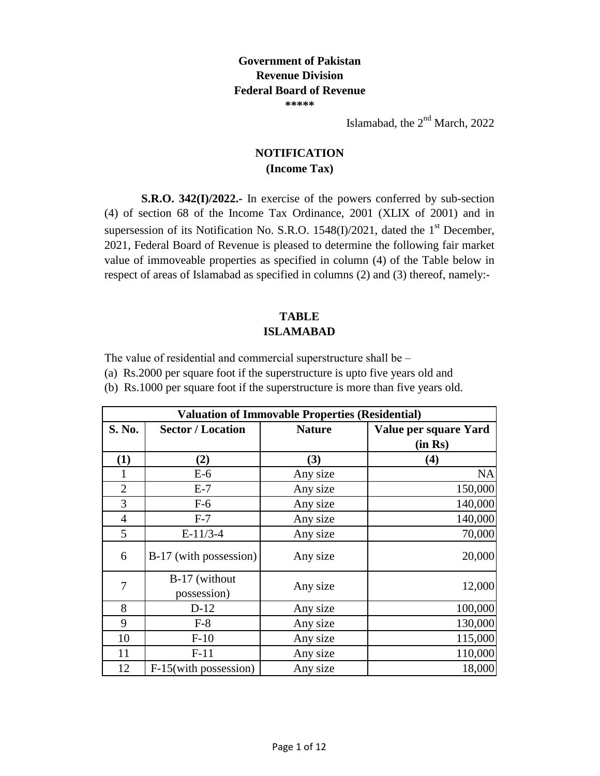## **Government of Pakistan Revenue Division Federal Board of Revenue \*\*\*\*\***

Islamabad, the  $2<sup>nd</sup>$  March, 2022

## **NOTIFICATION (Income Tax)**

**S.R.O. 342(I)/2022.-** In exercise of the powers conferred by sub-section (4) of section 68 of the Income Tax Ordinance, 2001 (XLIX of 2001) and in supersession of its Notification No. S.R.O. 1548(I)/2021, dated the  $1<sup>st</sup>$  December, 2021, Federal Board of Revenue is pleased to determine the following fair market value of immoveable properties as specified in column (4) of the Table below in respect of areas of Islamabad as specified in columns (2) and (3) thereof, namely:-

## **TABLE ISLAMABAD**

The value of residential and commercial superstructure shall be –

(a) Rs.2000 per square foot if the superstructure is upto five years old and

(b) Rs.1000 per square foot if the superstructure is more than five years old.

| <b>Valuation of Immovable Properties (Residential)</b> |                              |               |                                  |
|--------------------------------------------------------|------------------------------|---------------|----------------------------------|
| S. No.                                                 | <b>Sector / Location</b>     | <b>Nature</b> | Value per square Yard<br>(in Rs) |
| (1)                                                    | (2)                          | (3)           | (4)                              |
|                                                        | $E-6$                        | Any size      | <b>NA</b>                        |
| $\overline{2}$                                         | $E-7$                        | Any size      | 150,000                          |
| 3                                                      | $F-6$                        | Any size      | 140,000                          |
| 4                                                      | $F-7$                        | Any size      | 140,000                          |
| 5                                                      | $E-11/3-4$                   | Any size      | 70,000                           |
| 6                                                      | B-17 (with possession)       | Any size      | 20,000                           |
| 7                                                      | B-17 (without<br>possession) | Any size      | 12,000                           |
| 8                                                      | $D-12$                       | Any size      | 100,000                          |
| 9                                                      | $F-8$                        | Any size      | 130,000                          |
| 10                                                     | $F-10$                       | Any size      | 115,000                          |
| 11                                                     | $F-11$                       | Any size      | 110,000                          |
| 12                                                     | F-15(with possession)        | Any size      | 18,000                           |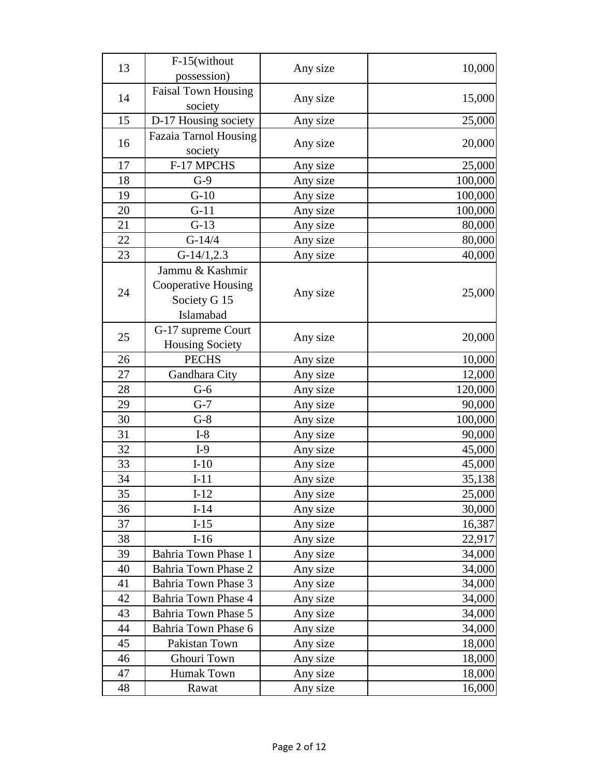|    | F-15(without               |          |         |
|----|----------------------------|----------|---------|
| 13 | possession)                | Any size | 10,000  |
| 14 | <b>Faisal Town Housing</b> | Any size |         |
|    | society                    |          | 15,000  |
| 15 | D-17 Housing society       | Any size | 25,000  |
|    | Fazaia Tarnol Housing      |          |         |
| 16 | society                    | Any size | 20,000  |
| 17 | F-17 MPCHS                 | Any size | 25,000  |
| 18 | $G-9$                      | Any size | 100,000 |
| 19 | $G-10$                     | Any size | 100,000 |
| 20 | $G-11$                     | Any size | 100,000 |
| 21 | $G-13$                     | Any size | 80,000  |
| 22 | $G-14/4$                   | Any size | 80,000  |
| 23 | $G-14/1, 2.3$              | Any size | 40,000  |
|    | Jammu & Kashmir            |          |         |
|    | <b>Cooperative Housing</b> |          |         |
| 24 | Society G 15               | Any size | 25,000  |
|    | Islamabad                  |          |         |
|    | G-17 supreme Court         |          |         |
| 25 | <b>Housing Society</b>     | Any size | 20,000  |
| 26 | <b>PECHS</b>               | Any size | 10,000  |
| 27 | Gandhara City              | Any size | 12,000  |
| 28 | $G-6$                      | Any size | 120,000 |
| 29 | $G-7$                      | Any size | 90,000  |
| 30 | $G-8$                      | Any size | 100,000 |
| 31 | $I-8$                      | Any size | 90,000  |
| 32 | $I-9$                      | Any size | 45,000  |
| 33 | $I-10$                     | Any size | 45,000  |
| 34 | $I-11$                     | Any size | 35,138  |
| 35 | $I-12$                     | Any size | 25,000  |
| 36 | $I-14$                     | Any size | 30,000  |
| 37 | $I-15$                     | Any size | 16,387  |
| 38 | $I-16$                     | Any size | 22,917  |
| 39 | Bahria Town Phase 1        | Any size | 34,000  |
| 40 | Bahria Town Phase 2        | Any size | 34,000  |
| 41 | Bahria Town Phase 3        | Any size | 34,000  |
| 42 | Bahria Town Phase 4        | Any size | 34,000  |
| 43 | Bahria Town Phase 5        | Any size | 34,000  |
| 44 | Bahria Town Phase 6        | Any size | 34,000  |
| 45 | Pakistan Town              | Any size | 18,000  |
| 46 | Ghouri Town                | Any size | 18,000  |
| 47 | Humak Town                 | Any size | 18,000  |
| 48 | Rawat                      | Any size | 16,000  |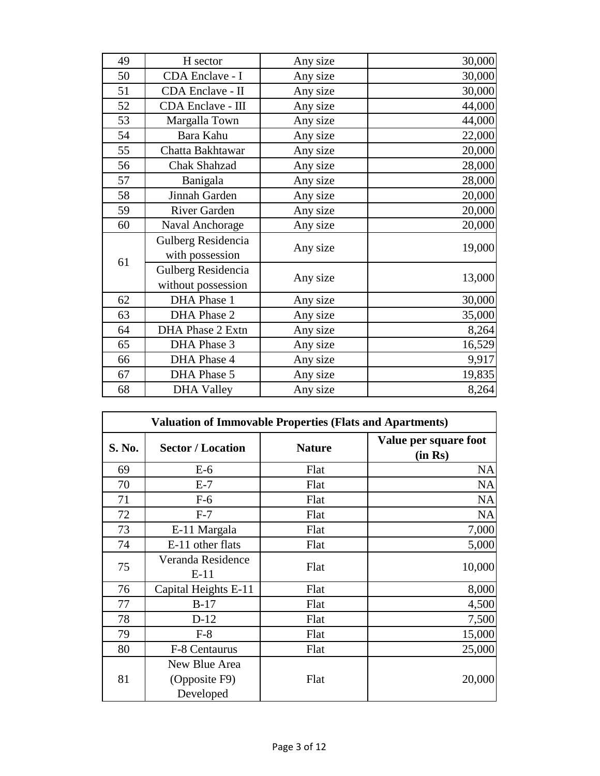| 49 | H sector                | Any size | 30,000 |
|----|-------------------------|----------|--------|
| 50 | CDA Enclave - I         | Any size | 30,000 |
| 51 | CDA Enclave - II        | Any size | 30,000 |
| 52 | CDA Enclave - III       | Any size | 44,000 |
| 53 | Margalla Town           | Any size | 44,000 |
| 54 | Bara Kahu               | Any size | 22,000 |
| 55 | Chatta Bakhtawar        | Any size | 20,000 |
| 56 | <b>Chak Shahzad</b>     | Any size | 28,000 |
| 57 | Banigala                | Any size | 28,000 |
| 58 | Jinnah Garden           | Any size | 20,000 |
| 59 | <b>River Garden</b>     | Any size | 20,000 |
| 60 | Naval Anchorage         | Any size | 20,000 |
|    | Gulberg Residencia      |          | 19,000 |
| 61 | with possession         | Any size |        |
|    | Gulberg Residencia      |          |        |
|    | without possession      | Any size | 13,000 |
| 62 | DHA Phase 1             | Any size | 30,000 |
| 63 | DHA Phase 2             | Any size | 35,000 |
| 64 | <b>DHA Phase 2 Extn</b> | Any size | 8,264  |
| 65 | DHA Phase 3             | Any size | 16,529 |
| 66 | DHA Phase 4             | Any size | 9,917  |
| 67 | DHA Phase 5             | Any size | 19,835 |
| 68 | <b>DHA Valley</b>       | Any size | 8,264  |

|        | <b>Valuation of Immovable Properties (Flats and Apartments)</b> |               |                                  |  |
|--------|-----------------------------------------------------------------|---------------|----------------------------------|--|
| S. No. | <b>Sector / Location</b>                                        | <b>Nature</b> | Value per square foot<br>(in Rs) |  |
| 69     | $E-6$                                                           | Flat          | <b>NA</b>                        |  |
| 70     | $E-7$                                                           | Flat          | <b>NA</b>                        |  |
| 71     | $F-6$                                                           | Flat          | <b>NA</b>                        |  |
| 72     | $F-7$                                                           | Flat          | <b>NA</b>                        |  |
| 73     | E-11 Margala                                                    | Flat          | 7,000                            |  |
| 74     | E-11 other flats                                                | Flat          | 5,000                            |  |
| 75     | Veranda Residence<br>$E-11$                                     | Flat          | 10,000                           |  |
| 76     | Capital Heights E-11                                            | Flat          | 8,000                            |  |
| 77     | $B-17$                                                          | Flat          | 4,500                            |  |
| 78     | $D-12$                                                          | Flat          | 7,500                            |  |
| 79     | $F-8$                                                           | Flat          | 15,000                           |  |
| 80     | F-8 Centaurus                                                   | Flat          | 25,000                           |  |
| 81     | New Blue Area<br>(Opposite F9)<br>Developed                     | Flat          | 20,000                           |  |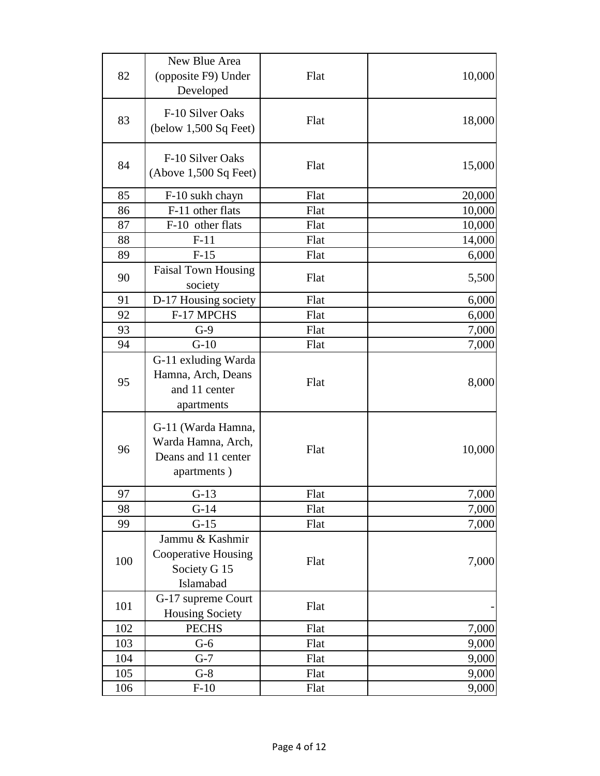| 82  | New Blue Area<br>(opposite F9) Under<br>Developed                              | Flat | 10,000 |
|-----|--------------------------------------------------------------------------------|------|--------|
| 83  | F-10 Silver Oaks<br>$(below 1,500 Sq$ Feet)                                    | Flat | 18,000 |
| 84  | F-10 Silver Oaks<br>(Above 1,500 Sq Feet)                                      | Flat | 15,000 |
| 85  | F-10 sukh chayn                                                                | Flat | 20,000 |
| 86  | F-11 other flats                                                               | Flat | 10,000 |
| 87  | F-10 other flats                                                               | Flat | 10,000 |
| 88  | $F-11$                                                                         | Flat | 14,000 |
| 89  | $F-15$                                                                         | Flat | 6,000  |
| 90  | <b>Faisal Town Housing</b><br>society                                          | Flat | 5,500  |
| 91  | D-17 Housing society                                                           | Flat | 6,000  |
| 92  | F-17 MPCHS                                                                     | Flat | 6,000  |
| 93  | $G-9$                                                                          | Flat | 7,000  |
| 94  | $G-10$                                                                         | Flat | 7,000  |
| 95  | G-11 exluding Warda<br>Hamna, Arch, Deans<br>and 11 center<br>apartments       | Flat | 8,000  |
| 96  | G-11 (Warda Hamna,<br>Warda Hamna, Arch,<br>Deans and 11 center<br>apartments) | Flat | 10,000 |
| 97  | $G-13$                                                                         | Flat | 7,000  |
| 98  | $G-14$                                                                         | Flat | 7,000  |
| 99  | $G-15$                                                                         | Flat | 7,000  |
| 100 | Jammu & Kashmir<br>Cooperative Housing<br>Society G 15<br>Islamabad            | Flat | 7,000  |
| 101 | G-17 supreme Court<br>Housing Society                                          | Flat |        |
| 102 | <b>PECHS</b>                                                                   | Flat | 7,000  |
| 103 | $G-6$                                                                          | Flat | 9,000  |
| 104 | $G-7$                                                                          | Flat | 9,000  |
| 105 | $G-8$                                                                          | Flat | 9,000  |
| 106 | $F-10$                                                                         | Flat | 9,000  |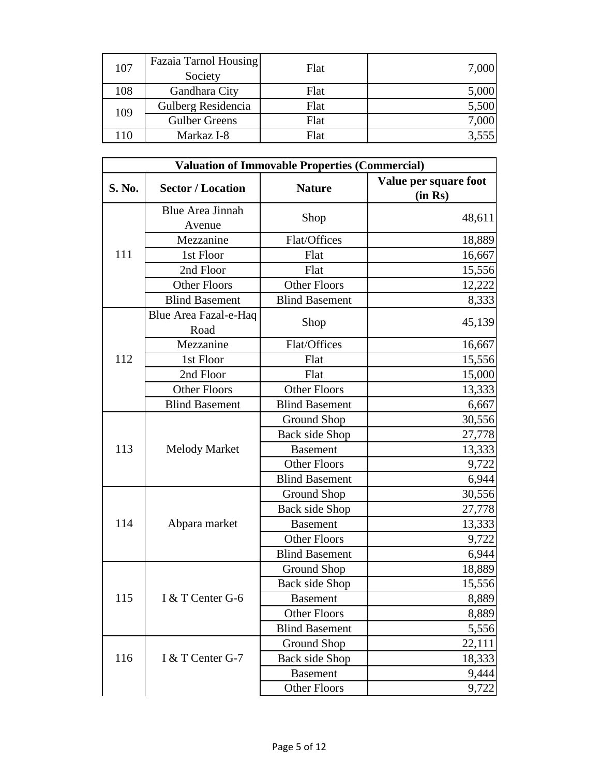| 107 | Fazaia Tarnol Housing<br>Society | Flat | 7,000 |
|-----|----------------------------------|------|-------|
| 108 | Gandhara City                    | Flat | 5,000 |
| 109 | Gulberg Residencia               | Flat | 5,500 |
|     | <b>Gulber Greens</b>             | Flat | 7,000 |
| 110 | Markaz I-8                       | Flat | 3,555 |

| <b>Valuation of Immovable Properties (Commercial)</b> |                                   |                       |                                  |
|-------------------------------------------------------|-----------------------------------|-----------------------|----------------------------------|
| S. No.                                                | <b>Sector / Location</b>          | <b>Nature</b>         | Value per square foot<br>(in Rs) |
|                                                       | <b>Blue Area Jinnah</b><br>Avenue | Shop                  | 48,611                           |
|                                                       | Mezzanine                         | Flat/Offices          | 18,889                           |
| 111                                                   | 1st Floor                         | Flat                  | 16,667                           |
|                                                       | 2nd Floor                         | Flat                  | 15,556                           |
|                                                       | <b>Other Floors</b>               | <b>Other Floors</b>   | 12,222                           |
|                                                       | <b>Blind Basement</b>             | <b>Blind Basement</b> | 8,333                            |
|                                                       | Blue Area Fazal-e-Haq<br>Road     | Shop                  | 45,139                           |
|                                                       | Mezzanine                         | Flat/Offices          | 16,667                           |
| 112                                                   | 1st Floor                         | Flat                  | 15,556                           |
|                                                       | 2nd Floor                         | Flat                  | 15,000                           |
|                                                       | <b>Other Floors</b>               | <b>Other Floors</b>   | 13,333                           |
|                                                       | <b>Blind Basement</b>             | <b>Blind Basement</b> | 6,667                            |
|                                                       |                                   | <b>Ground Shop</b>    | 30,556                           |
|                                                       |                                   | Back side Shop        | 27,778                           |
| 113                                                   | <b>Melody Market</b>              | <b>Basement</b>       | 13,333                           |
|                                                       |                                   | <b>Other Floors</b>   | 9,722                            |
|                                                       |                                   | <b>Blind Basement</b> | 6,944                            |
|                                                       |                                   | Ground Shop           | 30,556                           |
|                                                       |                                   | <b>Back side Shop</b> | 27,778                           |
| 114                                                   | Abpara market                     | <b>Basement</b>       | 13,333                           |
|                                                       |                                   | <b>Other Floors</b>   | 9,722                            |
|                                                       |                                   | <b>Blind Basement</b> | 6,944                            |
|                                                       |                                   | Ground Shop           | 18,889                           |
|                                                       |                                   | Back side Shop        | 15,556                           |
| 115                                                   | I & T Center G-6                  | <b>Basement</b>       | 8,889                            |
|                                                       |                                   | <b>Other Floors</b>   | 8,889                            |
|                                                       |                                   | <b>Blind Basement</b> | 5,556                            |
|                                                       |                                   | <b>Ground Shop</b>    | 22,111                           |
| 116                                                   | I & T Center G-7                  | Back side Shop        | 18,333                           |
|                                                       |                                   | <b>Basement</b>       | 9,444                            |
|                                                       |                                   | Other Floors          | 9,722                            |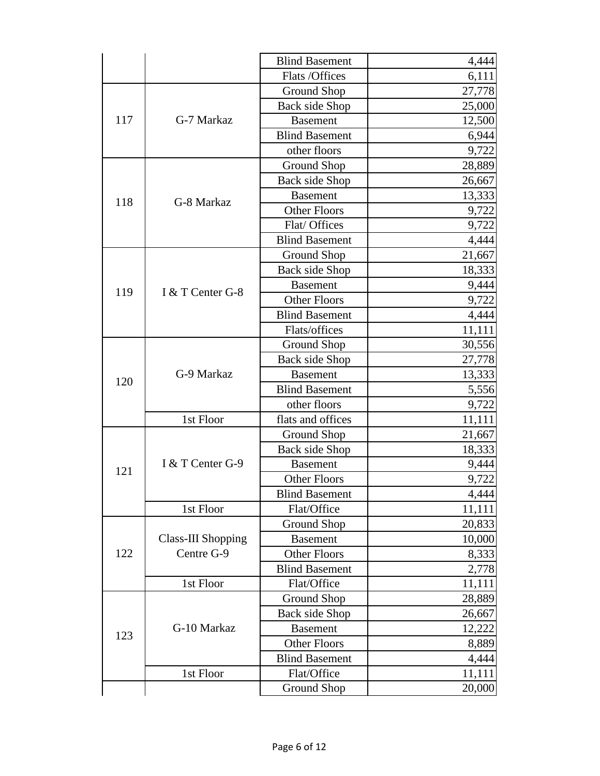|     |                    | <b>Blind Basement</b> | 4,444  |
|-----|--------------------|-----------------------|--------|
|     |                    | Flats /Offices        | 6,111  |
|     |                    | <b>Ground Shop</b>    | 27,778 |
|     |                    | Back side Shop        | 25,000 |
| 117 | G-7 Markaz         | <b>Basement</b>       | 12,500 |
|     |                    | <b>Blind Basement</b> | 6,944  |
|     |                    | other floors          | 9,722  |
|     |                    | Ground Shop           | 28,889 |
|     |                    | <b>Back side Shop</b> | 26,667 |
|     |                    | <b>Basement</b>       | 13,333 |
| 118 | G-8 Markaz         | <b>Other Floors</b>   | 9,722  |
|     |                    | Flat/ Offices         | 9,722  |
|     |                    | <b>Blind Basement</b> | 4,444  |
|     |                    | <b>Ground Shop</b>    | 21,667 |
|     |                    | Back side Shop        | 18,333 |
|     |                    | <b>Basement</b>       | 9,444  |
| 119 | I & T Center G-8   | <b>Other Floors</b>   | 9,722  |
|     |                    | <b>Blind Basement</b> | 4,444  |
|     |                    | Flats/offices         | 11,111 |
|     |                    | Ground Shop           | 30,556 |
|     |                    | <b>Back side Shop</b> | 27,778 |
|     | G-9 Markaz         | <b>Basement</b>       | 13,333 |
| 120 |                    | <b>Blind Basement</b> | 5,556  |
|     |                    | other floors          | 9,722  |
|     | 1st Floor          | flats and offices     | 11,111 |
|     |                    | Ground Shop           | 21,667 |
|     | I & T Center G-9   | <b>Back side Shop</b> | 18,333 |
|     |                    | <b>Basement</b>       | 9,444  |
| 121 |                    | <b>Other Floors</b>   | 9,722  |
|     |                    | <b>Blind Basement</b> | 4,444  |
|     | 1st Floor          | Flat/Office           | 11,111 |
|     |                    | Ground Shop           | 20,833 |
|     | Class-III Shopping | <b>Basement</b>       | 10,000 |
| 122 | Centre G-9         | <b>Other Floors</b>   | 8,333  |
|     |                    | <b>Blind Basement</b> | 2,778  |
|     | 1st Floor          | Flat/Office           | 11,111 |
| 123 |                    | Ground Shop           | 28,889 |
|     |                    | <b>Back side Shop</b> | 26,667 |
|     | G-10 Markaz        | <b>Basement</b>       | 12,222 |
|     |                    | <b>Other Floors</b>   | 8,889  |
|     |                    | <b>Blind Basement</b> | 4,444  |
|     | 1st Floor          | Flat/Office           | 11,111 |
|     |                    | Ground Shop           | 20,000 |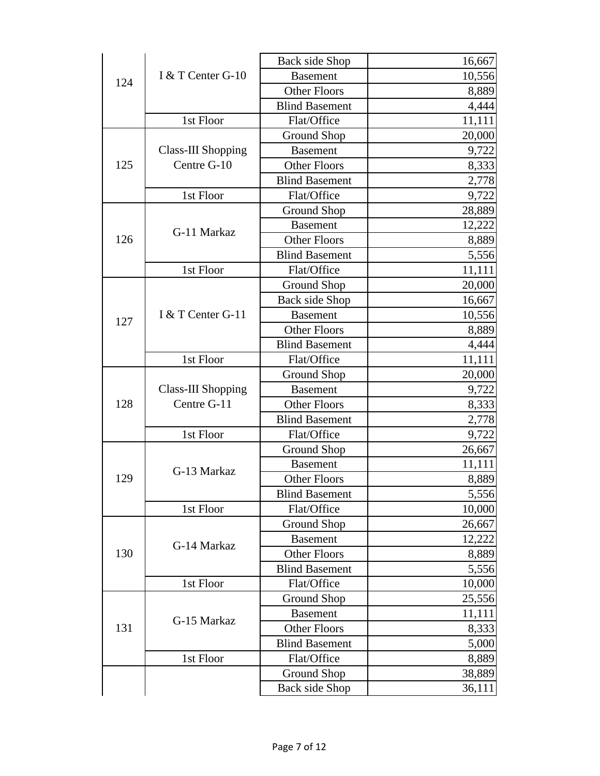| 124 | I & T Center G-10  | <b>Back side Shop</b> | 16,667 |
|-----|--------------------|-----------------------|--------|
|     |                    | <b>Basement</b>       | 10,556 |
|     |                    | <b>Other Floors</b>   | 8,889  |
|     |                    | <b>Blind Basement</b> | 4,444  |
|     | 1st Floor          | Flat/Office           | 11,111 |
|     |                    | Ground Shop           | 20,000 |
|     | Class-III Shopping | <b>Basement</b>       | 9,722  |
| 125 | Centre G-10        | <b>Other Floors</b>   | 8,333  |
|     |                    | <b>Blind Basement</b> | 2,778  |
|     | 1st Floor          | Flat/Office           | 9,722  |
|     |                    | Ground Shop           | 28,889 |
|     |                    | <b>Basement</b>       | 12,222 |
| 126 | G-11 Markaz        | <b>Other Floors</b>   | 8,889  |
|     |                    | <b>Blind Basement</b> | 5,556  |
|     | 1st Floor          | Flat/Office           | 11,111 |
|     |                    | Ground Shop           | 20,000 |
|     |                    | Back side Shop        | 16,667 |
|     | I & T Center G-11  | <b>Basement</b>       | 10,556 |
| 127 |                    | <b>Other Floors</b>   | 8,889  |
|     |                    | <b>Blind Basement</b> | 4,444  |
|     | 1st Floor          | Flat/Office           | 11,111 |
|     |                    | Ground Shop           | 20,000 |
|     | Class-III Shopping | <b>Basement</b>       | 9,722  |
| 128 | Centre G-11        | <b>Other Floors</b>   | 8,333  |
|     |                    | <b>Blind Basement</b> | 2,778  |
|     | 1st Floor          | Flat/Office           | 9,722  |
|     | G-13 Markaz        | <b>Ground Shop</b>    | 26,667 |
|     |                    | <b>Basement</b>       | 11,111 |
| 129 |                    | <b>Other Floors</b>   | 8,889  |
|     |                    | <b>Blind Basement</b> | 5,556  |
|     | 1st Floor          | Flat/Office           | 10,000 |
|     |                    | Ground Shop           | 26,667 |
|     | G-14 Markaz        | <b>Basement</b>       | 12,222 |
| 130 |                    | <b>Other Floors</b>   | 8,889  |
|     |                    | <b>Blind Basement</b> | 5,556  |
|     | 1st Floor          | Flat/Office           | 10,000 |
|     |                    | Ground Shop           | 25,556 |
|     |                    | <b>Basement</b>       | 11,111 |
| 131 | G-15 Markaz        | <b>Other Floors</b>   | 8,333  |
|     |                    | <b>Blind Basement</b> | 5,000  |
|     | 1st Floor          | Flat/Office           | 8,889  |
|     |                    | Ground Shop           | 38,889 |
|     |                    | Back side Shop        | 36,111 |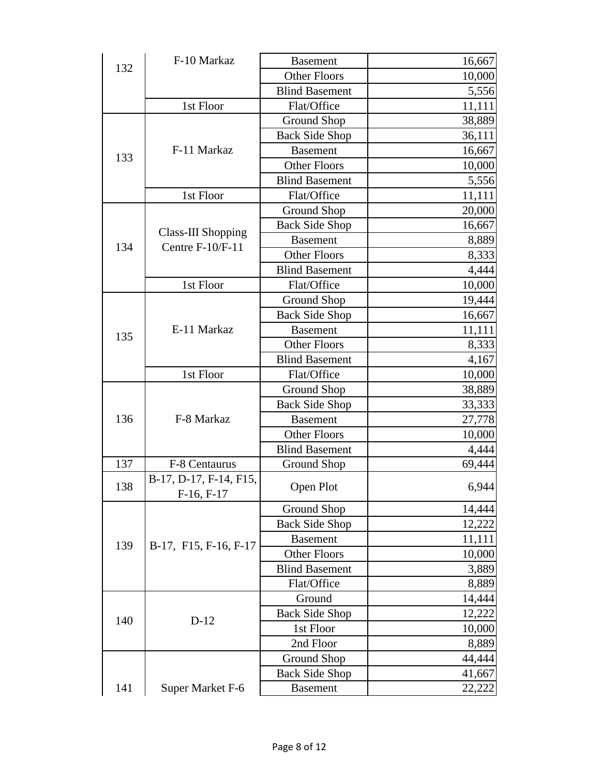| 132 | F-10 Markaz                                   | <b>Basement</b>       | 16,667 |
|-----|-----------------------------------------------|-----------------------|--------|
|     |                                               | <b>Other Floors</b>   | 10,000 |
|     |                                               | <b>Blind Basement</b> | 5,556  |
|     | 1st Floor                                     | Flat/Office           | 11,111 |
|     |                                               | <b>Ground Shop</b>    | 38,889 |
|     |                                               | <b>Back Side Shop</b> | 36,111 |
|     | F-11 Markaz                                   | <b>Basement</b>       | 16,667 |
| 133 |                                               | <b>Other Floors</b>   | 10,000 |
|     |                                               | <b>Blind Basement</b> | 5,556  |
|     | 1st Floor                                     | Flat/Office           | 11,111 |
|     |                                               | Ground Shop           | 20,000 |
|     |                                               | <b>Back Side Shop</b> | 16,667 |
|     | <b>Class-III Shopping</b><br>Centre F-10/F-11 | <b>Basement</b>       | 8,889  |
| 134 |                                               | <b>Other Floors</b>   | 8,333  |
|     |                                               | <b>Blind Basement</b> | 4,444  |
|     | 1st Floor                                     | Flat/Office           | 10,000 |
|     |                                               | Ground Shop           | 19,444 |
|     |                                               | <b>Back Side Shop</b> | 16,667 |
|     | E-11 Markaz                                   | <b>Basement</b>       | 11,111 |
| 135 |                                               | <b>Other Floors</b>   | 8,333  |
|     |                                               | <b>Blind Basement</b> | 4,167  |
|     | 1st Floor                                     | Flat/Office           | 10,000 |
|     |                                               | Ground Shop           | 38,889 |
|     |                                               | <b>Back Side Shop</b> | 33,333 |
| 136 | F-8 Markaz                                    | <b>Basement</b>       | 27,778 |
|     |                                               | <b>Other Floors</b>   | 10,000 |
|     |                                               | <b>Blind Basement</b> | 4,444  |
| 137 | F-8 Centaurus                                 | Ground Shop           | 69,444 |
| 138 | B-17, D-17, F-14, F15,<br>$F-16, F-17$        | Open Plot             | 6,944  |
|     |                                               | Ground Shop           | 14,444 |
|     |                                               | <b>Back Side Shop</b> | 12,222 |
| 139 |                                               | <b>Basement</b>       | 11,111 |
|     | B-17, F15, F-16, F-17                         | Other Floors          | 10,000 |
|     |                                               | <b>Blind Basement</b> | 3,889  |
|     |                                               | Flat/Office           | 8,889  |
|     |                                               | Ground                | 14,444 |
|     |                                               | <b>Back Side Shop</b> | 12,222 |
| 140 | $D-12$                                        | 1st Floor             | 10,000 |
|     |                                               | 2nd Floor             | 8,889  |
|     |                                               | <b>Ground Shop</b>    | 44,444 |
|     |                                               | <b>Back Side Shop</b> | 41,667 |
| 141 | Super Market F-6                              | <b>Basement</b>       | 22,222 |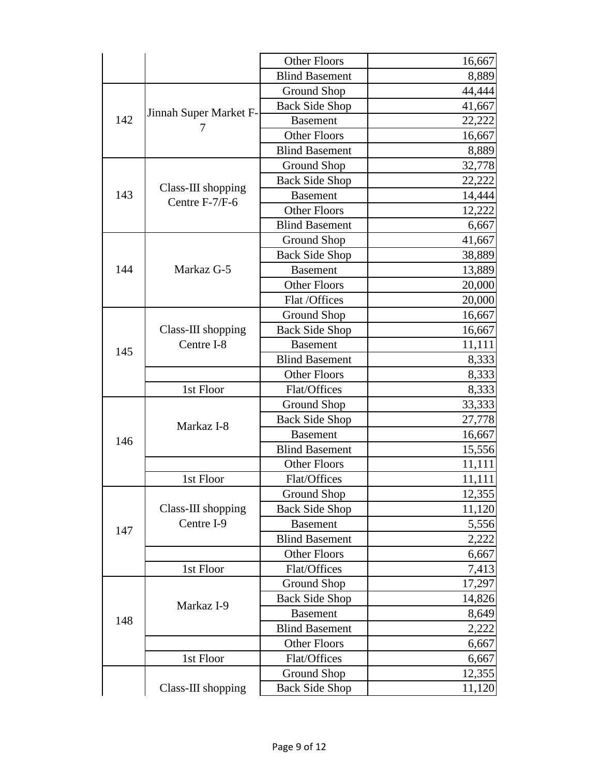|     |                                      | <b>Other Floors</b>   | 16,667 |
|-----|--------------------------------------|-----------------------|--------|
|     |                                      | <b>Blind Basement</b> | 8,889  |
|     |                                      | <b>Ground Shop</b>    | 44,444 |
|     |                                      | <b>Back Side Shop</b> | 41,667 |
| 142 | Jinnah Super Market F-               | <b>Basement</b>       | 22,222 |
|     |                                      | <b>Other Floors</b>   | 16,667 |
|     |                                      | <b>Blind Basement</b> | 8,889  |
|     |                                      | Ground Shop           | 32,778 |
|     |                                      | <b>Back Side Shop</b> | 22,222 |
| 143 | Class-III shopping<br>Centre F-7/F-6 | <b>Basement</b>       | 14,444 |
|     |                                      | <b>Other Floors</b>   | 12,222 |
|     |                                      | <b>Blind Basement</b> | 6,667  |
|     |                                      | Ground Shop           | 41,667 |
|     |                                      | <b>Back Side Shop</b> | 38,889 |
| 144 | Markaz G-5                           | <b>Basement</b>       | 13,889 |
|     |                                      | <b>Other Floors</b>   | 20,000 |
|     |                                      | Flat /Offices         | 20,000 |
|     |                                      | <b>Ground Shop</b>    | 16,667 |
|     | Class-III shopping                   | <b>Back Side Shop</b> | 16,667 |
| 145 | Centre I-8                           | <b>Basement</b>       | 11,111 |
|     |                                      | <b>Blind Basement</b> | 8,333  |
|     |                                      | <b>Other Floors</b>   | 8,333  |
|     | 1st Floor                            | Flat/Offices          | 8,333  |
|     |                                      | <b>Ground Shop</b>    | 33,333 |
|     | Markaz I-8                           | <b>Back Side Shop</b> | 27,778 |
| 146 |                                      | <b>Basement</b>       | 16,667 |
|     |                                      | <b>Blind Basement</b> | 15,556 |
|     |                                      | <b>Other Floors</b>   | 11,111 |
|     | 1st Floor                            | Flat/Offices          | 11,111 |
|     |                                      | <b>Ground Shop</b>    | 12,355 |
|     | Class-III shopping                   | <b>Back Side Shop</b> | 11,120 |
| 147 | Centre I-9                           | <b>Basement</b>       | 5,556  |
|     |                                      | <b>Blind Basement</b> | 2,222  |
|     |                                      | <b>Other Floors</b>   | 6,667  |
|     | 1st Floor                            | Flat/Offices          | 7,413  |
| 148 |                                      | Ground Shop           | 17,297 |
|     | Markaz I-9                           | <b>Back Side Shop</b> | 14,826 |
|     |                                      | <b>Basement</b>       | 8,649  |
|     |                                      | <b>Blind Basement</b> | 2,222  |
|     |                                      | <b>Other Floors</b>   | 6,667  |
|     | 1st Floor                            | Flat/Offices          | 6,667  |
|     |                                      | <b>Ground Shop</b>    | 12,355 |
|     | Class-III shopping                   | <b>Back Side Shop</b> | 11,120 |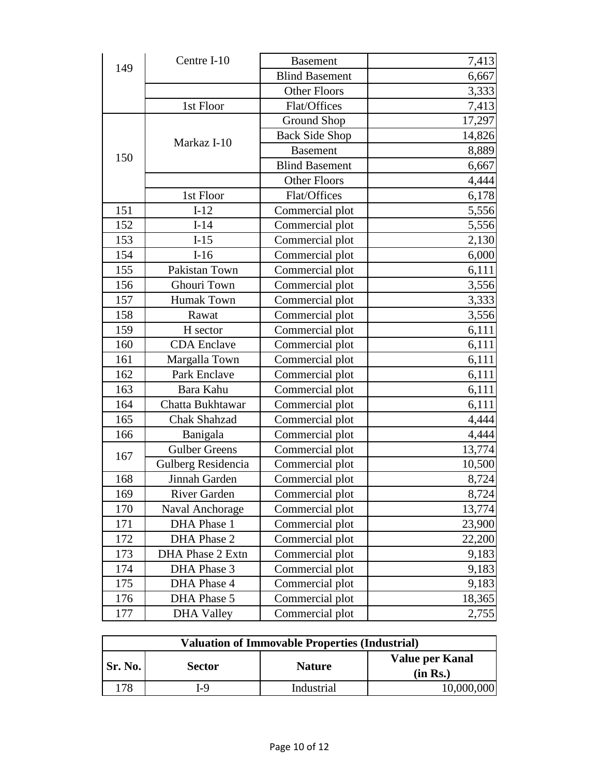| 149 | Centre I-10          | <b>Basement</b>       | 7,413  |
|-----|----------------------|-----------------------|--------|
|     |                      | <b>Blind Basement</b> | 6,667  |
|     |                      | <b>Other Floors</b>   | 3,333  |
|     | 1st Floor            | Flat/Offices          | 7,413  |
|     |                      | <b>Ground Shop</b>    | 17,297 |
|     |                      | <b>Back Side Shop</b> | 14,826 |
|     | Markaz I-10          | <b>Basement</b>       | 8,889  |
| 150 |                      | <b>Blind Basement</b> | 6,667  |
|     |                      | <b>Other Floors</b>   | 4,444  |
|     | 1st Floor            | Flat/Offices          | 6,178  |
| 151 | $I-12$               | Commercial plot       | 5,556  |
| 152 | $I-14$               | Commercial plot       | 5,556  |
| 153 | $I-15$               | Commercial plot       | 2,130  |
| 154 | $I-16$               | Commercial plot       | 6,000  |
| 155 | Pakistan Town        | Commercial plot       | 6,111  |
| 156 | Ghouri Town          | Commercial plot       | 3,556  |
| 157 | <b>Humak Town</b>    | Commercial plot       | 3,333  |
| 158 | Rawat                | Commercial plot       | 3,556  |
| 159 | H sector             | Commercial plot       | 6,111  |
| 160 | <b>CDA</b> Enclave   | Commercial plot       | 6,111  |
| 161 | Margalla Town        | Commercial plot       | 6,111  |
| 162 | Park Enclave         | Commercial plot       | 6,111  |
| 163 | Bara Kahu            | Commercial plot       | 6,111  |
| 164 | Chatta Bukhtawar     | Commercial plot       | 6,111  |
| 165 | Chak Shahzad         | Commercial plot       | 4,444  |
| 166 | Banigala             | Commercial plot       | 4,444  |
| 167 | <b>Gulber Greens</b> | Commercial plot       | 13,774 |
|     | Gulberg Residencia   | Commercial plot       | 10,500 |
| 168 | Jinnah Garden        | Commercial plot       | 8,724  |
| 169 | <b>River Garden</b>  | Commercial plot       | 8,724  |
| 170 | Naval Anchorage      | Commercial plot       | 13,774 |
| 171 | DHA Phase 1          | Commercial plot       | 23,900 |
| 172 | DHA Phase 2          | Commercial plot       | 22,200 |
| 173 | DHA Phase 2 Extn     | Commercial plot       | 9,183  |
| 174 | DHA Phase 3          | Commercial plot       | 9,183  |
| 175 | DHA Phase 4          | Commercial plot       | 9,183  |
| 176 | DHA Phase 5          | Commercial plot       | 18,365 |
| 177 | <b>DHA Valley</b>    | Commercial plot       | 2,755  |

| <b>Valuation of Immovable Properties (Industrial)</b> |               |               |                             |
|-------------------------------------------------------|---------------|---------------|-----------------------------|
| Sr. No.                                               | <b>Sector</b> | <b>Nature</b> | Value per Kanal<br>(in Rs.) |
| 78                                                    | I-9           | Industrial    | 10,000,000]                 |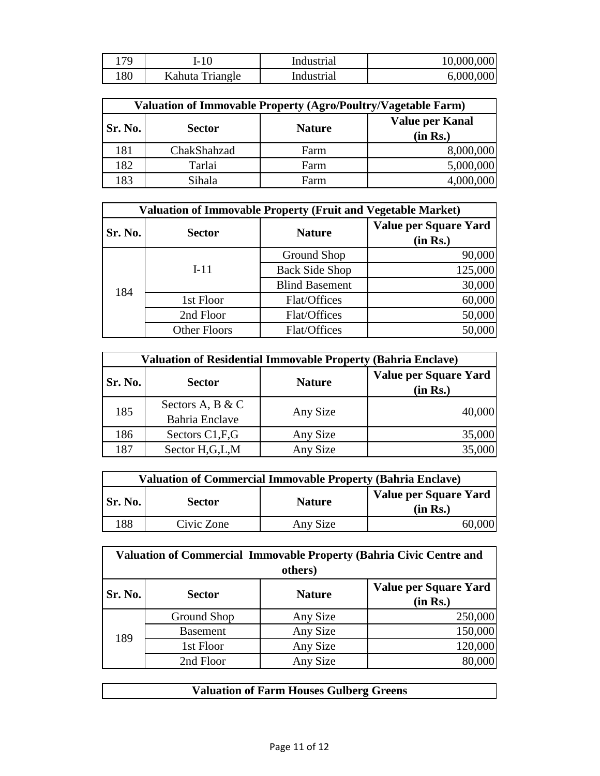| 79  | I-10            | Industrial | 10,000,000 |
|-----|-----------------|------------|------------|
| 180 | Kahuta Triangle | Industrial | 6,000,000  |

| Valuation of Immovable Property (Agro/Poultry/Vagetable Farm) |               |               |                                    |  |
|---------------------------------------------------------------|---------------|---------------|------------------------------------|--|
| <b>Sr. No.</b>                                                | <b>Sector</b> | <b>Nature</b> | <b>Value per Kanal</b><br>(in Rs.) |  |
| 181                                                           | ChakShahzad   | Farm          | 8,000,000                          |  |
| 182                                                           | Tarlai        | Farm          | 5,000,000                          |  |
| 183                                                           | Sihala        | Farm          | 4,000,000                          |  |

| <b>Valuation of Immovable Property (Fruit and Vegetable Market)</b> |                     |                       |                                   |  |
|---------------------------------------------------------------------|---------------------|-----------------------|-----------------------------------|--|
| Sr. No.                                                             | <b>Sector</b>       | <b>Nature</b>         | Value per Square Yard<br>(in Rs.) |  |
| 184                                                                 | $I-11$              | Ground Shop           | 90,000                            |  |
|                                                                     |                     | <b>Back Side Shop</b> | 125,000                           |  |
|                                                                     |                     | <b>Blind Basement</b> | 30,000                            |  |
|                                                                     | 1st Floor           | Flat/Offices          | 60,000                            |  |
|                                                                     | 2nd Floor           | Flat/Offices          | 50,000                            |  |
|                                                                     | <b>Other Floors</b> | Flat/Offices          | 50,000                            |  |

| <b>Valuation of Residential Immovable Property (Bahria Enclave)</b> |                       |               |                                   |  |
|---------------------------------------------------------------------|-----------------------|---------------|-----------------------------------|--|
| Sr. No.                                                             | <b>Sector</b>         | <b>Nature</b> | Value per Square Yard<br>(in Rs.) |  |
| 185                                                                 | Sectors A, B & C      | Any Size      | 40,000                            |  |
|                                                                     | <b>Bahria</b> Enclave |               |                                   |  |
| 186                                                                 | Sectors C1, F, G      | Any Size      | 35,000                            |  |
| 187                                                                 | Sector H,G,L,M        | Any Size      | 35,000                            |  |

| <b>Valuation of Commercial Immovable Property (Bahria Enclave)</b> |               |               |                                   |
|--------------------------------------------------------------------|---------------|---------------|-----------------------------------|
| Sr. No.                                                            | <b>Sector</b> | <b>Nature</b> | Value per Square Yard<br>(in Rs.) |
| 188                                                                | Civic Zone    | Any Size      |                                   |

| Valuation of Commercial Immovable Property (Bahria Civic Centre and<br>others) |                 |               |                                   |  |
|--------------------------------------------------------------------------------|-----------------|---------------|-----------------------------------|--|
| Sr. No.                                                                        | <b>Sector</b>   | <b>Nature</b> | Value per Square Yard<br>(in Rs.) |  |
| 189                                                                            | Ground Shop     | Any Size      | 250,000                           |  |
|                                                                                | <b>Basement</b> | Any Size      | 150,000                           |  |
|                                                                                | 1st Floor       | Any Size      | 120,000                           |  |
|                                                                                | 2nd Floor       | Any Size      |                                   |  |

| <b>Valuation of Farm Houses Gulberg Greens</b> |
|------------------------------------------------|
|------------------------------------------------|